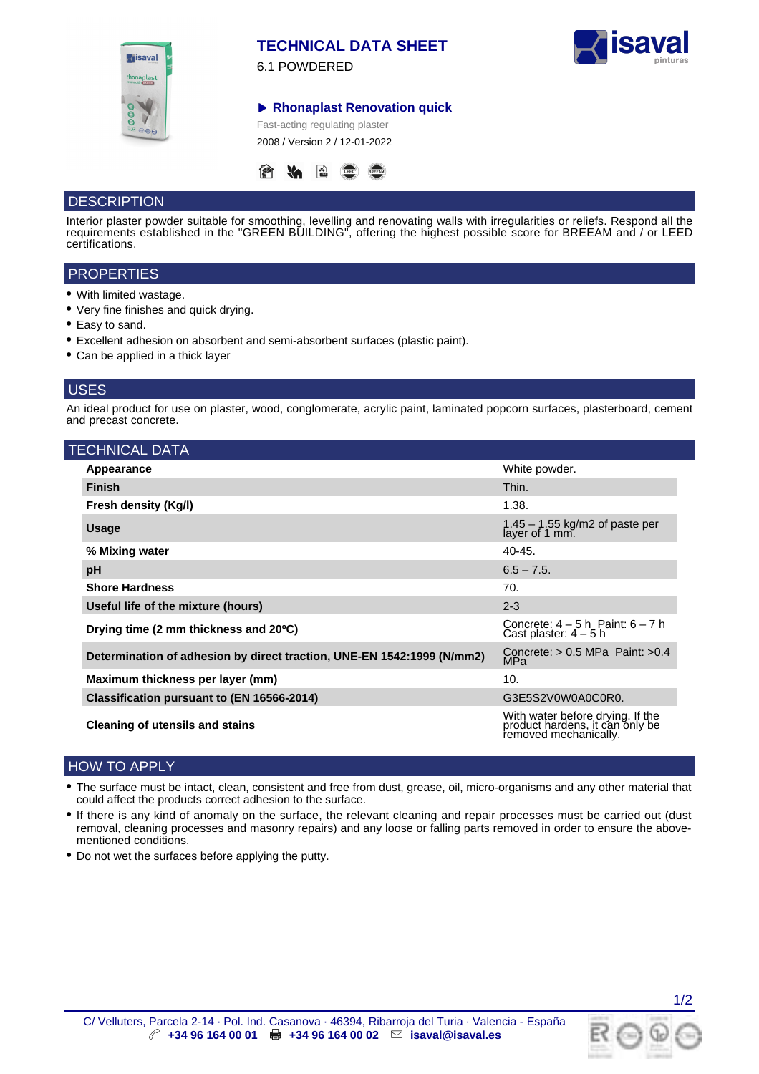

# **TECHNICAL DATA SHEET**

6.1 POWDERED



**Rhonaplast Renovation quick**

Fast-acting regulating plaster 2008 / Version 2 / 12-01-2022



# **DESCRIPTION**

Interior plaster powder suitable for smoothing, levelling and renovating walls with irregularities or reliefs. Respond all the requirements established in the "GREEN BUILDING", offering the highest possible score for BREEAM and / or LEED certifications.

## **PROPERTIES**

- With limited wastage.
- Very fine finishes and quick drying.
- Easy to sand.
- Excellent adhesion on absorbent and semi-absorbent surfaces (plastic paint).
- Can be applied in a thick layer

## USES

An ideal product for use on plaster, wood, conglomerate, acrylic paint, laminated popcorn surfaces, plasterboard, cement and precast concrete.

| <b>TECHNICAL DATA</b>                                                  |                                                                                              |
|------------------------------------------------------------------------|----------------------------------------------------------------------------------------------|
| Appearance                                                             | White powder.                                                                                |
| <b>Finish</b>                                                          | Thin.                                                                                        |
| Fresh density (Kg/I)                                                   | 1.38.                                                                                        |
| <b>Usage</b>                                                           | $1.45 - 1.55$ kg/m2 of paste per layer of 1 mm.                                              |
| % Mixing water                                                         | $40 - 45.$                                                                                   |
| pH                                                                     | $6.5 - 7.5$                                                                                  |
| <b>Shore Hardness</b>                                                  | 70.                                                                                          |
| Useful life of the mixture (hours)                                     | $2 - 3$                                                                                      |
| Drying time (2 mm thickness and 20°C)                                  | Concrete: $4 - 5$ h Paint: $6 - 7$ h<br>Cast plaster: $4 - 5$ h                              |
| Determination of adhesion by direct traction, UNE-EN 1542:1999 (N/mm2) | Concrete: $> 0.5$ MPa Paint: $>0.4$<br>MPa                                                   |
| Maximum thickness per layer (mm)                                       | 10.                                                                                          |
| Classification pursuant to (EN 16566-2014)                             | G3E5S2V0W0A0C0R0.                                                                            |
| Cleaning of utensils and stains                                        | With water before drying. If the<br>product hardens, it can only be<br>removed mechanically. |

# HOW TO APPLY

- The surface must be intact, clean, consistent and free from dust, grease, oil, micro-organisms and any other material that could affect the products correct adhesion to the surface.
- If there is any kind of anomaly on the surface, the relevant cleaning and repair processes must be carried out (dust removal, cleaning processes and masonry repairs) and any loose or falling parts removed in order to ensure the abovementioned conditions.
- Do not wet the surfaces before applying the putty.